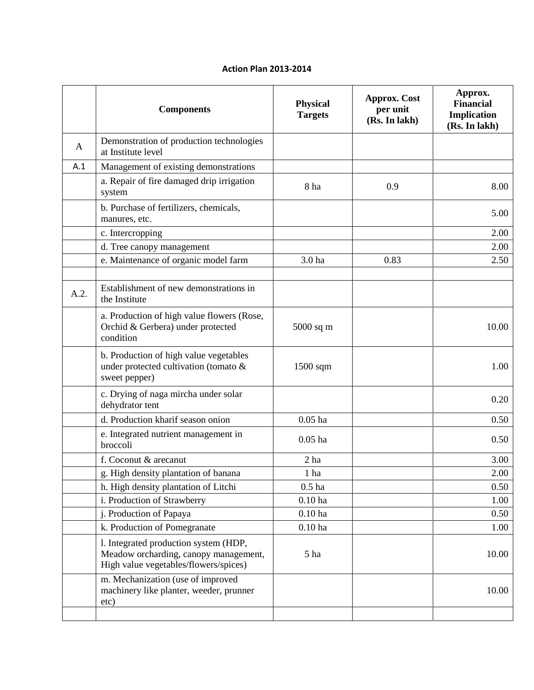## **Action Plan 2013-2014**

| <b>Components</b>                                                                                                       | <b>Physical</b><br><b>Targets</b> | <b>Approx.</b> Cost<br>per unit<br>(Rs. In lakh) | Approx.<br><b>Financial</b><br>Implication<br>(Rs. In lakh) |
|-------------------------------------------------------------------------------------------------------------------------|-----------------------------------|--------------------------------------------------|-------------------------------------------------------------|
| Demonstration of production technologies<br>at Institute level                                                          |                                   |                                                  |                                                             |
| Management of existing demonstrations                                                                                   |                                   |                                                  |                                                             |
| a. Repair of fire damaged drip irrigation<br>system                                                                     | 8 ha                              | 0.9                                              | 8.00                                                        |
| b. Purchase of fertilizers, chemicals,<br>manures, etc.                                                                 |                                   |                                                  | 5.00                                                        |
| c. Intercropping                                                                                                        |                                   |                                                  | 2.00                                                        |
| d. Tree canopy management                                                                                               |                                   |                                                  | 2.00                                                        |
| e. Maintenance of organic model farm                                                                                    | 3.0 ha                            | 0.83                                             | 2.50                                                        |
|                                                                                                                         |                                   |                                                  |                                                             |
| Establishment of new demonstrations in<br>the Institute                                                                 |                                   |                                                  |                                                             |
| a. Production of high value flowers (Rose,<br>Orchid & Gerbera) under protected<br>condition                            | 5000 sq m                         |                                                  | 10.00                                                       |
| b. Production of high value vegetables<br>under protected cultivation (tomato &<br>sweet pepper)                        | $1500$ sqm                        |                                                  | 1.00                                                        |
| c. Drying of naga mircha under solar<br>dehydrator tent                                                                 |                                   |                                                  | 0.20                                                        |
| d. Production kharif season onion                                                                                       | $0.05$ ha                         |                                                  | 0.50                                                        |
| e. Integrated nutrient management in<br>broccoli                                                                        | $0.05$ ha                         |                                                  | 0.50                                                        |
| f. Coconut & arecanut                                                                                                   | 2 <sub>ha</sub>                   |                                                  | 3.00                                                        |
| g. High density plantation of banana                                                                                    | 1 ha                              |                                                  | 2.00                                                        |
| h. High density plantation of Litchi                                                                                    | $0.5$ ha                          |                                                  | 0.50                                                        |
| i. Production of Strawberry                                                                                             | $0.10$ ha                         |                                                  | 1.00                                                        |
| j. Production of Papaya                                                                                                 | $0.10$ ha                         |                                                  | 0.50                                                        |
| k. Production of Pomegranate                                                                                            | $0.10$ ha                         |                                                  | 1.00                                                        |
| 1. Integrated production system (HDP,<br>Meadow orcharding, canopy management,<br>High value vegetables/flowers/spices) | 5 ha                              |                                                  | 10.00                                                       |
| m. Mechanization (use of improved<br>machinery like planter, weeder, prunner<br>etc)                                    |                                   |                                                  | 10.00                                                       |
|                                                                                                                         |                                   |                                                  |                                                             |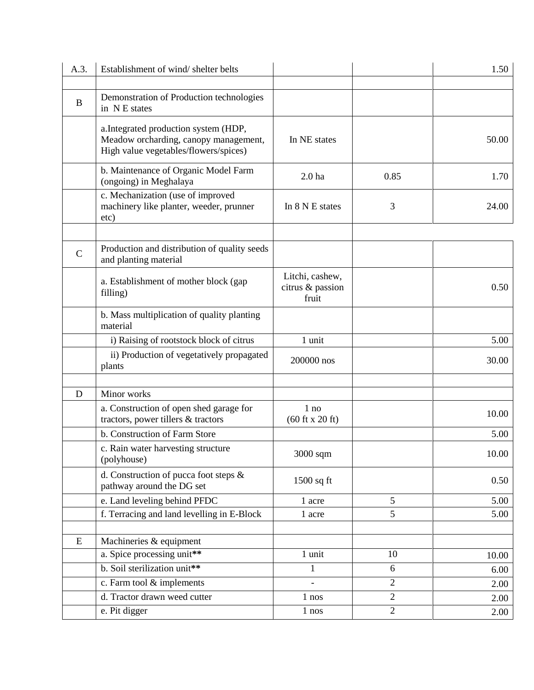| Demonstration of Production technologies<br>B<br>in NE states                                                                           |       |
|-----------------------------------------------------------------------------------------------------------------------------------------|-------|
| a. Integrated production system (HDP,<br>Meadow orcharding, canopy management,<br>In NE states<br>High value vegetables/flowers/spices) | 50.00 |
| b. Maintenance of Organic Model Farm<br>2.0 <sub>ha</sub><br>0.85<br>(ongoing) in Meghalaya                                             | 1.70  |
| c. Mechanization (use of improved<br>machinery like planter, weeder, prunner<br>3<br>In 8 N E states<br>etc)                            | 24.00 |
| Production and distribution of quality seeds<br>$\mathsf{C}$<br>and planting material                                                   |       |
| Litchi, cashew,<br>a. Establishment of mother block (gap<br>citrus & passion<br>filling)<br>fruit                                       | 0.50  |
| b. Mass multiplication of quality planting<br>material                                                                                  |       |
| i) Raising of rootstock block of citrus<br>1 unit                                                                                       | 5.00  |
| ii) Production of vegetatively propagated<br>200000 nos<br>plants                                                                       | 30.00 |
| Minor works<br>D                                                                                                                        |       |
| a. Construction of open shed garage for<br>$1$ no<br>tractors, power tillers & tractors<br>$(60 \text{ ft} \times 20 \text{ ft})$       | 10.00 |
| b. Construction of Farm Store                                                                                                           | 5.00  |
| c. Rain water harvesting structure<br>3000 sqm<br>(polyhouse)                                                                           | 10.00 |
| d. Construction of pucca foot steps &<br>$1500$ sq ft<br>pathway around the DG set                                                      | 0.50  |
| e. Land leveling behind PFDC<br>5<br>1 acre                                                                                             | 5.00  |
| f. Terracing and land levelling in E-Block<br>5<br>1 acre                                                                               | 5.00  |
| ${\bf E}$                                                                                                                               |       |
| Machineries & equipment<br>a. Spice processing unit**<br>1 unit<br>10                                                                   | 10.00 |
| b. Soil sterilization unit**<br>$\mathbf{1}$<br>6                                                                                       | 6.00  |
| c. Farm tool & implements<br>$\overline{2}$                                                                                             | 2.00  |
| d. Tractor drawn weed cutter<br>$\overline{2}$<br>$1$ nos                                                                               | 2.00  |
| $\sqrt{2}$<br>e. Pit digger<br>1 nos                                                                                                    | 2.00  |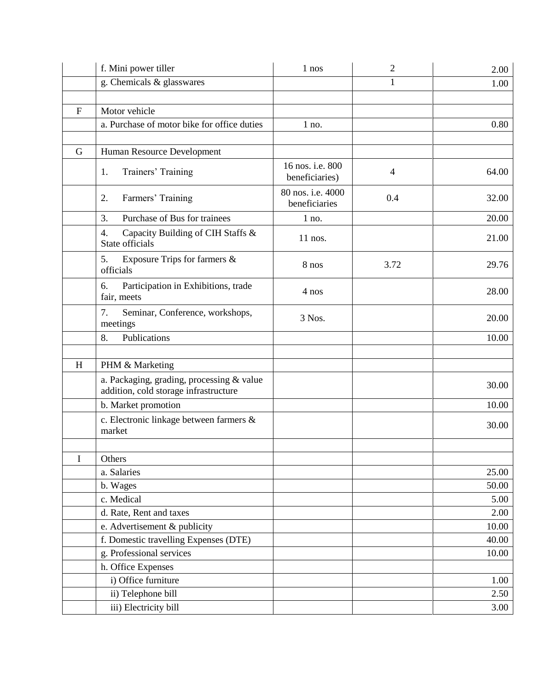|              | f. Mini power tiller                                                               | 1 nos                              | $\overline{2}$ | 2.00           |
|--------------|------------------------------------------------------------------------------------|------------------------------------|----------------|----------------|
|              | g. Chemicals & glasswares                                                          |                                    | 1              | 1.00           |
|              |                                                                                    |                                    |                |                |
| $\mathbf{F}$ | Motor vehicle                                                                      |                                    |                |                |
|              | a. Purchase of motor bike for office duties                                        | $1$ no.                            |                | 0.80           |
|              |                                                                                    |                                    |                |                |
| G            | Human Resource Development                                                         |                                    |                |                |
|              | Trainers' Training<br>1.                                                           | 16 nos. i.e. 800<br>beneficiaries) | $\overline{4}$ | 64.00          |
|              | Farmers' Training<br>2.                                                            | 80 nos. i.e. 4000<br>beneficiaries | 0.4            | 32.00          |
|              | Purchase of Bus for trainees<br>3.                                                 | $1$ no.                            |                | 20.00          |
|              | Capacity Building of CIH Staffs &<br>4.<br>State officials                         | $11$ nos.                          |                | 21.00          |
|              | 5.<br>Exposure Trips for farmers &<br>officials                                    | 8 nos                              | 3.72           | 29.76          |
|              | Participation in Exhibitions, trade<br>6.<br>fair, meets                           | 4 nos                              |                | 28.00          |
|              | 7.<br>Seminar, Conference, workshops,<br>meetings                                  | 3 Nos.                             |                | 20.00          |
|              | Publications<br>8.                                                                 |                                    |                | 10.00          |
|              |                                                                                    |                                    |                |                |
| H            | PHM & Marketing                                                                    |                                    |                |                |
|              | a. Packaging, grading, processing & value<br>addition, cold storage infrastructure |                                    |                | 30.00          |
|              | b. Market promotion                                                                |                                    |                | 10.00          |
|              | c. Electronic linkage between farmers &<br>market                                  |                                    |                | 30.00          |
|              |                                                                                    |                                    |                |                |
| I            | Others                                                                             |                                    |                |                |
|              | a. Salaries                                                                        |                                    |                | 25.00          |
|              | b. Wages                                                                           |                                    |                | 50.00          |
|              | c. Medical<br>d. Rate, Rent and taxes                                              |                                    |                | 5.00<br>2.00   |
|              |                                                                                    |                                    |                |                |
|              | e. Advertisement & publicity<br>f. Domestic travelling Expenses (DTE)              |                                    |                | 10.00<br>40.00 |
|              | g. Professional services                                                           |                                    |                | 10.00          |
|              | h. Office Expenses                                                                 |                                    |                |                |
|              | i) Office furniture                                                                |                                    |                | 1.00           |
|              | ii) Telephone bill                                                                 |                                    |                | 2.50           |
|              | iii) Electricity bill                                                              |                                    |                | 3.00           |